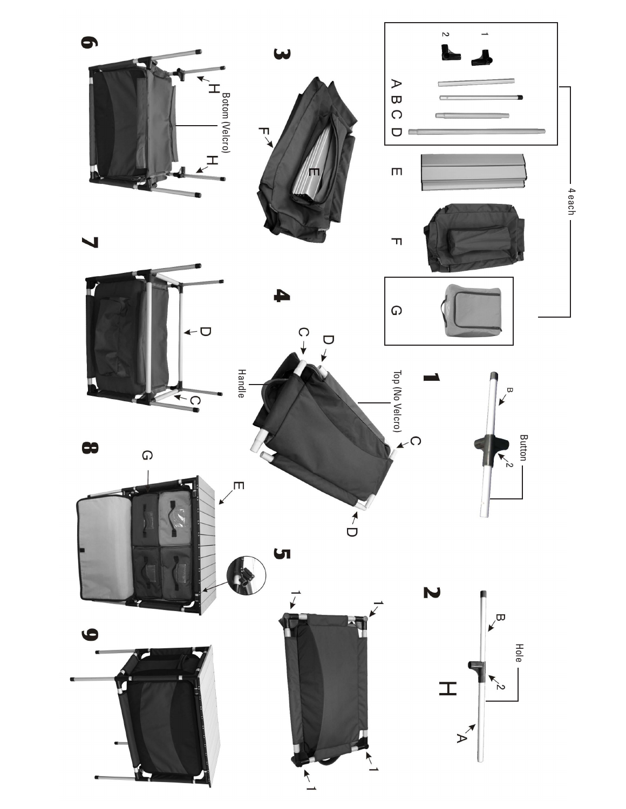